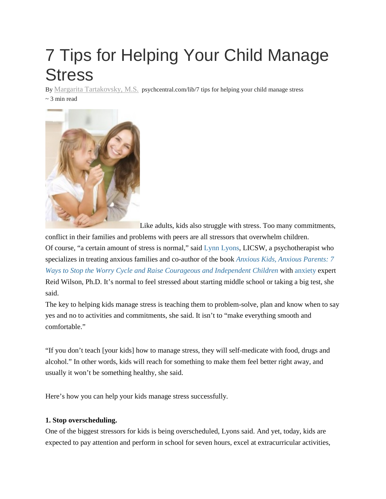# 7 Tips for Helping Your Child Manage **Stress**

By Margarita [Tartakovsky,](https://psychcentral.com/lib/author/margarita/) M.S. psychcentral.com/lib/7 tips for helping your child manage stress ~ 3 min read



Like adults, kids also struggle with stress. Too many commitments,

conflict in their families and problems with peers are all stressors that overwhelm children.

Of course, "a certain amount of stress is normal," said Lynn [Lyons,](http://www.lynnlyonsnh.com/) LICSW, a psychotherapist who specializes in treating anxious families and co-author of the book *Anxious Kids, Anxious [Parents:](http://www.amazon.com/Anxious-Kids-Parents-Courageous-Independent/dp/0757317626/?tag=psychcentral) 7 Ways to Stop the Worry Cycle and Raise Courageous and [Independent](http://www.amazon.com/Anxious-Kids-Parents-Courageous-Independent/dp/0757317626/?tag=psychcentral) Children* with [anxiety](http://psychcentral.com/disorders/anxiety/) expert Reid Wilson, Ph.D. It's normal to feel stressed about starting middle school or taking a big test, she said.

The key to helping kids manage stress is teaching them to problem-solve, plan and know when to say yes and no to activities and commitments, she said. It isn't to "make everything smooth and comfortable."

"If you don't teach [your kids] how to manage stress, they will self-medicate with food, drugs and alcohol." In other words, kids will reach for something to make them feel better right away, and usually it won't be something healthy, she said.

Here's how you can help your kids manage stress successfully.

# **1. Stop overscheduling.**

One of the biggest stressors for kids is being overscheduled, Lyons said. And yet, today, kids are expected to pay attention and perform in school for seven hours, excel at extracurricular activities,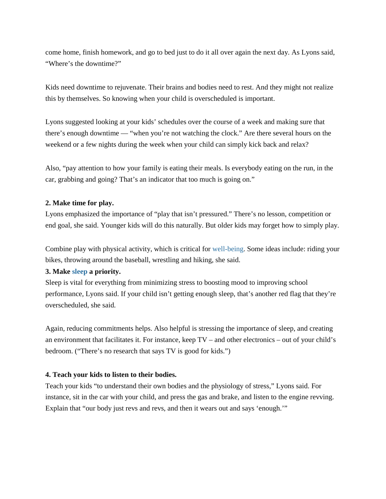come home, finish homework, and go to bed just to do it all over again the next day. As Lyons said, "Where's the downtime?"

Kids need downtime to rejuvenate. Their brains and bodies need to rest. And they might not realize this by themselves. So knowing when your child is overscheduled is important.

Lyons suggested looking at your kids' schedules over the course of a week and making sure that there's enough downtime — "when you're not watching the clock." Are there several hours on the weekend or a few nights during the week when your child can simply kick back and relax?

Also, "pay attention to how your family is eating their meals. Is everybody eating on the run, in the car, grabbing and going? That's an indicator that too much is going on."

#### **2. Make time for play.**

Lyons emphasized the importance of "play that isn't pressured." There's no lesson, competition or end goal, she said. Younger kids will do this naturally. But older kids may forget how to simply play.

Combine play with physical activity, which is critical for [well-being.](http://blogs.psychcentral.com/dbt/2010/08/taking-responsibility-for-your-own-well-being/) Some ideas include: riding your bikes, throwing around the baseball, wrestling and hiking, she said.

### **3. Make [sleep](http://psychcentral.com/disorders/sleep/) a priority.**

Sleep is vital for everything from minimizing stress to boosting mood to improving school performance, Lyons said. If your child isn't getting enough sleep, that's another red flag that they're overscheduled, she said.

Again, reducing commitments helps. Also helpful is stressing the importance of sleep, and creating an environment that facilitates it. For instance, keep TV – and other electronics – out of your child's bedroom. ("There's no research that says TV is good for kids.")

# **4. Teach your kids to listen to their bodies.**

Teach your kids "to understand their own bodies and the physiology of stress," Lyons said. For instance, sit in the car with your child, and press the gas and brake, and listen to the engine revving. Explain that "our body just revs and revs, and then it wears out and says 'enough.'"